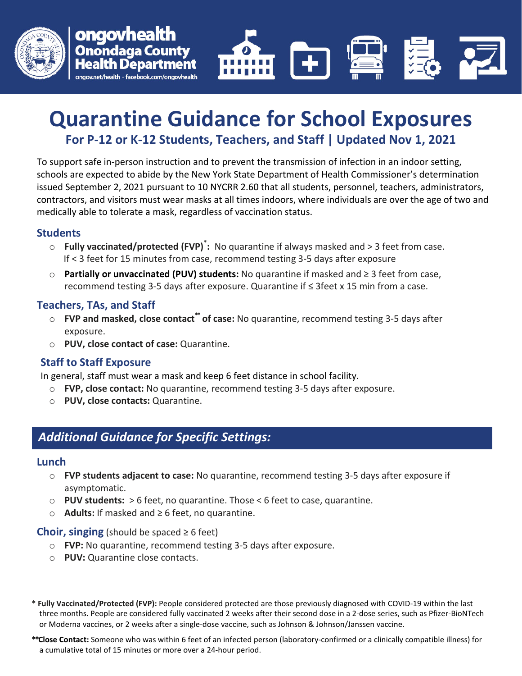



# **Quarantine Guidance for School Exposures For P-12 or K-12 Students, Teachers, and Staff | Updated Nov 1, 2021**

To support safe in-person instruction and to prevent the transmission of infection in an indoor setting, schools are expected to abide by the New York State Department of Health Commissioner's determination issued September 2, 2021 pursuant to 10 NYCRR 2.60 that all students, personnel, teachers, administrators, contractors, and visitors must wear masks at all times indoors, where individuals are over the age of two and medically able to tolerate a mask, regardless of vaccination status.

#### **Students**

- o **Fully vaccinated/protected (FVP)\* :** No quarantine if always masked and > 3 feet from case. If < 3 feet for 15 minutes from case, recommend testing 3-5 days after exposure
- o **Partially or unvaccinated (PUV) students:** No quarantine if masked and ≥ 3 feet from case, recommend testing 3-5 days after exposure. Quarantine if ≤ 3feet x 15 min from a case.

#### **Teachers, TAs, and Staff**

- o **FVP and masked, close contact\*\* of case:** No quarantine, recommend testing 3-5 days after exposure.
- o **PUV, close contact of case:** Quarantine.

#### **Staff to Staff Exposure**

In general, staff must wear a mask and keep 6 feet distance in school facility.

- o **FVP, close contact:** No quarantine, recommend testing 3-5 days after exposure.
- o **PUV, close contacts:** Quarantine.

## *Additional Guidance for Specific Settings:*

#### **Lunch**

- o **FVP students adjacent to case:** No quarantine, recommend testing 3-5 days after exposure if asymptomatic.
- o **PUV students:** > 6 feet, no quarantine. Those < 6 feet to case, quarantine.
- o **Adults:** If masked and ≥ 6 feet, no quarantine.

#### **Choir, singing** (should be spaced  $\geq 6$  feet)

- o **FVP:** No quarantine, recommend testing 3-5 days after exposure.
- o **PUV:** Quarantine close contacts.
- **\* Fully Vaccinated/Protected (FVP):** People considered protected are those [previously diagnosed with COVID-19](https://www.cdc.gov/coronavirus/2019-ncov/if-you-are-sick/quarantine.html) within the last three months. People are considered fully vaccinated 2 weeks after their second dose in a 2-dose series, such as Pfizer-BioNTech or Moderna vaccines, or 2 weeks after a single-dose vaccine, such as Johnson & Johnson/Janssen vaccine.
- **\*\*Close Contact:** Someone who was within 6 feet of an infected person (laboratory-confirmed or a clinically compatible illness) for a cumulative total of 15 minutes or more over a 24-hour period.